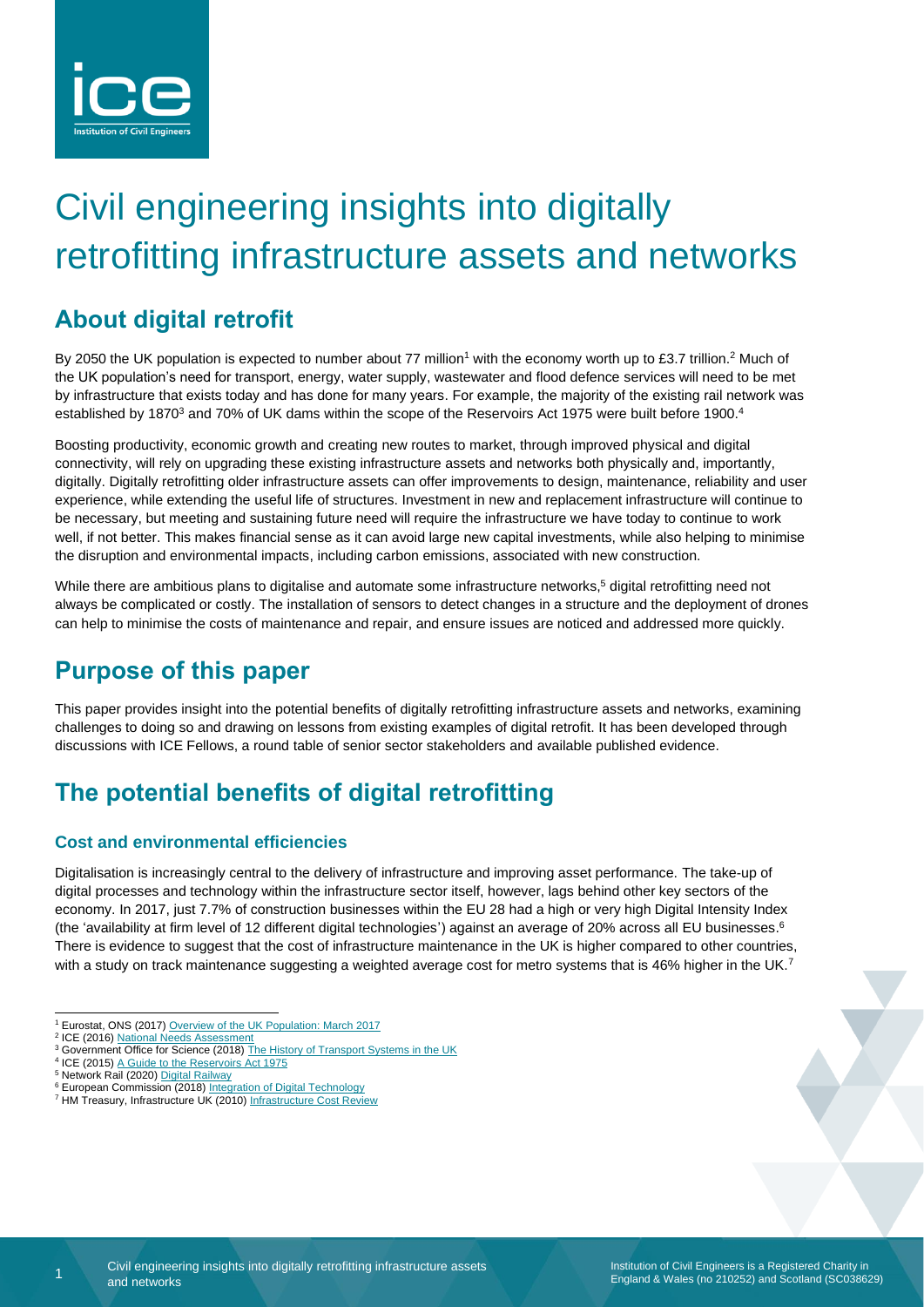

# Civil engineering insights into digitally retrofitting infrastructure assets and networks

# **About digital retrofit**

By 2050 the UK population is expected to number about 77 million<sup>1</sup> with the economy worth up to £3.7 trillion.<sup>2</sup> Much of the UK population's need for transport, energy, water supply, wastewater and flood defence services will need to be met by infrastructure that exists today and has done for many years. For example, the majority of the existing rail network was established by 1870<sup>3</sup> and 70% of UK dams within the scope of the Reservoirs Act 1975 were built before 1900.<sup>4</sup>

Boosting productivity, economic growth and creating new routes to market, through improved physical and digital connectivity, will rely on upgrading these existing infrastructure assets and networks both physically and, importantly, digitally. Digitally retrofitting older infrastructure assets can offer improvements to design, maintenance, reliability and user experience, while extending the useful life of structures. Investment in new and replacement infrastructure will continue to be necessary, but meeting and sustaining future need will require the infrastructure we have today to continue to work well, if not better. This makes financial sense as it can avoid large new capital investments, while also helping to minimise the disruption and environmental impacts, including carbon emissions, associated with new construction.

While there are ambitious plans to digitalise and automate some infrastructure networks, <sup>5</sup> digital retrofitting need not always be complicated or costly. The installation of sensors to detect changes in a structure and the deployment of drones can help to minimise the costs of maintenance and repair, and ensure issues are noticed and addressed more quickly.

# **Purpose of this paper**

This paper provides insight into the potential benefits of digitally retrofitting infrastructure assets and networks, examining challenges to doing so and drawing on lessons from existing examples of digital retrofit. It has been developed through discussions with ICE Fellows, a round table of senior sector stakeholders and available published evidence.

# **The potential benefits of digital retrofitting**

### **Cost and environmental efficiencies**

Digitalisation is increasingly central to the delivery of infrastructure and improving asset performance. The take-up of digital processes and technology within the infrastructure sector itself, however, lags behind other key sectors of the economy. In 2017, just 7.7% of construction businesses within the EU 28 had a high or very high Digital Intensity Index (the 'availability at firm level of 12 different digital technologies') against an average of 20% across all EU businesses. 6 There is evidence to suggest that the cost of infrastructure maintenance in the UK is higher compared to other countries, with a study on track maintenance suggesting a weighted average cost for metro systems that is 46% higher in the UK.<sup>7</sup>

1

<sup>1</sup> Eurostat, ONS (2017[\) Overview of the UK Population: March 2017](https://www.ons.gov.uk/peoplepopulationandcommunity/populationandmigration/populationestimates/articles/overviewoftheukpopulation/mar2017)

<sup>&</sup>lt;sup>2</sup> ICE (2016[\) National Needs Assessment](https://www.ice.org.uk/getattachment/news-and-insight/policy/national-needs-assessment-a-vision-for-uk-infrastr/National-Needs-Assessment-PDF-(1).pdf.aspx#_ga=2.34411745.1778077462.1582191596-94933451.1569858977)

<sup>&</sup>lt;sup>3</sup> Government Office for Science (2018[\) The History of Transport Systems in the UK](https://assets.publishing.service.gov.uk/government/uploads/system/uploads/attachment_data/file/761929/Historyoftransport.pdf)

<sup>&</sup>lt;sup>4</sup> ICE (2015) [A Guide to the Reservoirs Act 1975](https://www.icevirtuallibrary.com/doi/full/10.1680/gra.57692.003)

<sup>&</sup>lt;sup>5</sup> Network Rail (2020) [Digital Railway](https://www.networkrail.co.uk/running-the-railway/railway-upgrade-plan/digital-railway/)

<sup>&</sup>lt;sup>6</sup> European Commission (2018) [Integration of Digital Technology](https://ec.europa.eu/information_society/newsroom/image/document/2018-20/4_desi_report_integration_of_digital_technology_B61BEB6B-F21D-9DD7-72F1FAA836E36515_52243.pdf) <sup>7</sup> HM Treasury, Infrastructure UK (2010[\) Infrastructure Cost Review](https://assets.publishing.service.gov.uk/government/uploads/system/uploads/attachment_data/file/192588/cost_review_main211210.pdf)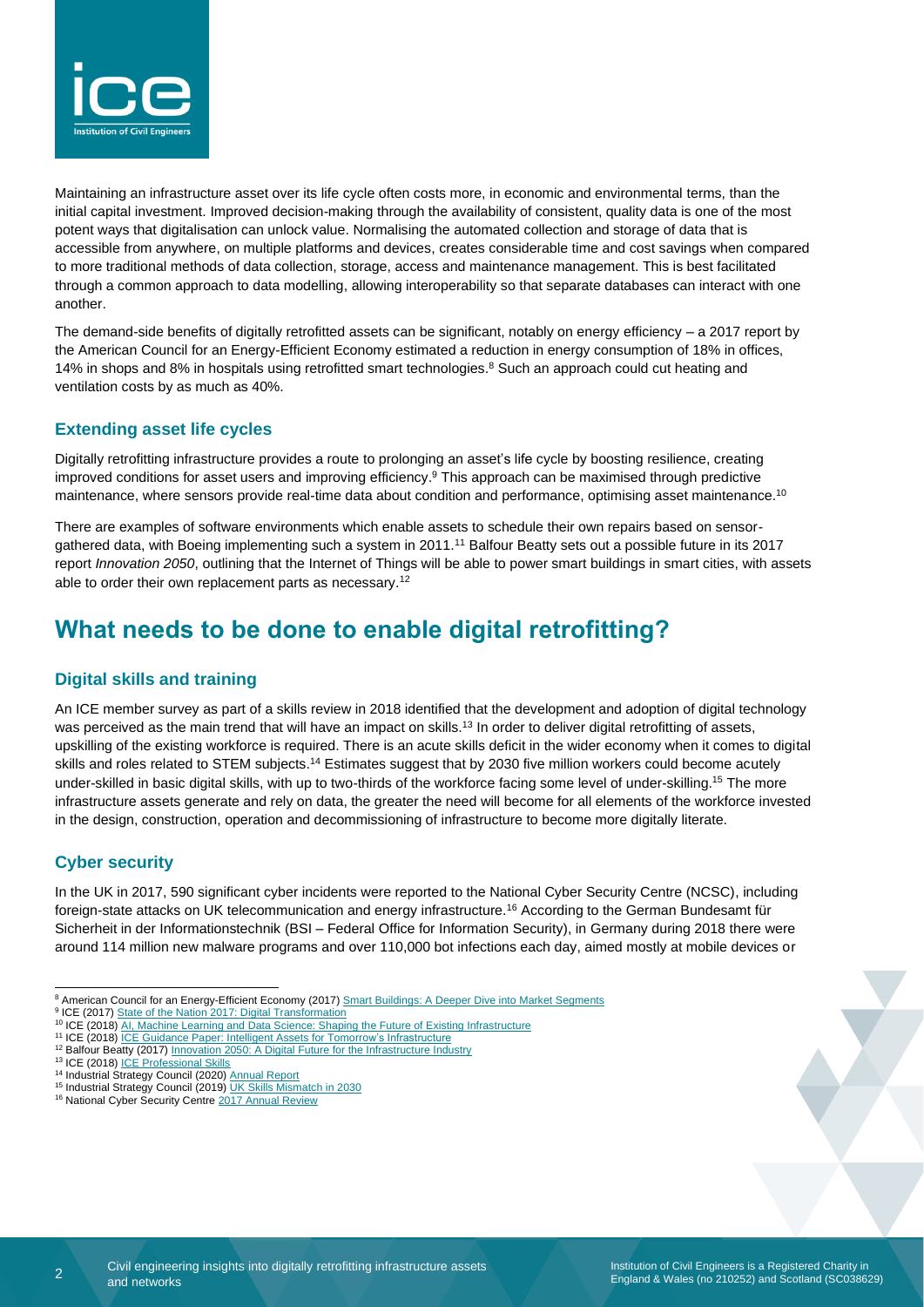

Maintaining an infrastructure asset over its life cycle often costs more, in economic and environmental terms, than the initial capital investment. Improved decision-making through the availability of consistent, quality data is one of the most potent ways that digitalisation can unlock value. Normalising the automated collection and storage of data that is accessible from anywhere, on multiple platforms and devices, creates considerable time and cost savings when compared to more traditional methods of data collection, storage, access and maintenance management. This is best facilitated through a common approach to data modelling, allowing interoperability so that separate databases can interact with one another.

The demand-side benefits of digitally retrofitted assets can be significant, notably on energy efficiency – a 2017 report by the American Council for an Energy-Efficient Economy estimated a reduction in energy consumption of 18% in offices, 14% in shops and 8% in hospitals using retrofitted smart technologies.<sup>8</sup> Such an approach could cut heating and ventilation costs by as much as 40%.

#### **Extending asset life cycles**

Digitally retrofitting infrastructure provides a route to prolonging an asset's life cycle by boosting resilience, creating improved conditions for asset users and improving efficiency. <sup>9</sup> This approach can be maximised through predictive maintenance, where sensors provide real-time data about condition and performance, optimising asset maintenance.<sup>10</sup>

There are examples of software environments which enable assets to schedule their own repairs based on sensorgathered data, with Boeing implementing such a system in 2011.<sup>11</sup> Balfour Beatty sets out a possible future in its 2017 report *Innovation 2050*, outlining that the Internet of Things will be able to power smart buildings in smart cities, with assets able to order their own replacement parts as necessary.<sup>12</sup>

### **What needs to be done to enable digital retrofitting?**

### **Digital skills and training**

An ICE member survey as part of a skills review in 2018 identified that the development and adoption of digital technology was perceived as the main trend that will have an impact on skills.<sup>13</sup> In order to deliver digital retrofitting of assets, upskilling of the existing workforce is required. There is an acute skills deficit in the wider economy when it comes to digital skills and roles related to STEM subjects.<sup>14</sup> Estimates suggest that by 2030 five million workers could become acutely under-skilled in basic digital skills, with up to two-thirds of the workforce facing some level of under-skilling.<sup>15</sup> The more infrastructure assets generate and rely on data, the greater the need will become for all elements of the workforce invested in the design, construction, operation and decommissioning of infrastructure to become more digitally literate.

### **Cyber security**

In the UK in 2017, 590 significant cyber incidents were reported to the National Cyber Security Centre (NCSC), including foreign-state attacks on UK telecommunication and energy infrastructure.<sup>16</sup> According to the German Bundesamt für Sicherheit in der Informationstechnik (BSI – Federal Office for Information Security), in Germany during 2018 there were around 114 million new malware programs and over 110,000 bot infections each day, aimed mostly at mobile devices or

<sup>9</sup> ICE (2017) [State of the Nation 2017: Digital](https://www.ice.org.uk/getattachment/news-and-insight/policy/state-of-the-nation-2017-digital-transformation/ICE-SoN-Report-Web-Updated.pdf.aspx#_ga=2.233645790.1984285452.1582116275-497007370.1579853452) Transformation

<sup>16</sup> National Cyber Security Centre [2017 Annual Review](https://www.ncsc.gov.uk/content/files/NCSC-2017-Annual-Review.pdf)

<sup>&</sup>lt;sup>8</sup> American Council for an Energy-Efficient Economy (2017) Smart Buildings: A [Deeper Dive into Market Segments](https://www.aceee.org/sites/default/files/publications/researchreports/a1703.pdf)

<sup>&</sup>lt;sup>10</sup> ICE (2018) [AI, Machine Learning and Data Science: Shaping the Future of Existing Infrastructure](https://www.ice.org.uk/ICEDevelopmentWebPortal/media/Documents/P3172-ICE-Artificial-intelligece-follow-on-Proof-6_FINAL.pdf)

<sup>11</sup> ICE (2018) ICE Guidance Paper: [Intelligent Assets for Tomorrow's Infrastructure](https://www.ice.org.uk/getattachment/knowledge-and-resources/best-practice/how-best-to-adapt-to-the-big-changes/ICE_Intelligent_Assets_for_Tomorrows_Infrastructure_Guiding_Principles.pdf.aspx)

<sup>&</sup>lt;sup>12</sup> Balfour Beatty (2017) **Innovation 2050: [A Digital Future for the Infrastructure Industry](https://www.balfourbeatty.com/media/244600/balfour-beatty-innovation-2050.pdf)** 

<sup>13</sup> ICE (2018) [ICE Professional Skills](https://www.ice.org.uk/ICEDevelopmentWebPortal/media/Documents/News/ICE%20News/ICE-Skills-report-2018.pdf)

<sup>14</sup> Industrial Strategy Council (2020) [Annual Report](https://industrialstrategycouncil.org/sites/default/files/attachments/ISC%20Annual%20Report%202020.pdf)

<sup>15</sup> Industrial Strategy Council (2019) [UK Skills Mismatch in 2030](https://industrialstrategycouncil.org/sites/default/files/UK%20Skills%20Mismatch%202030%20-%20Research%20Paper.pdf)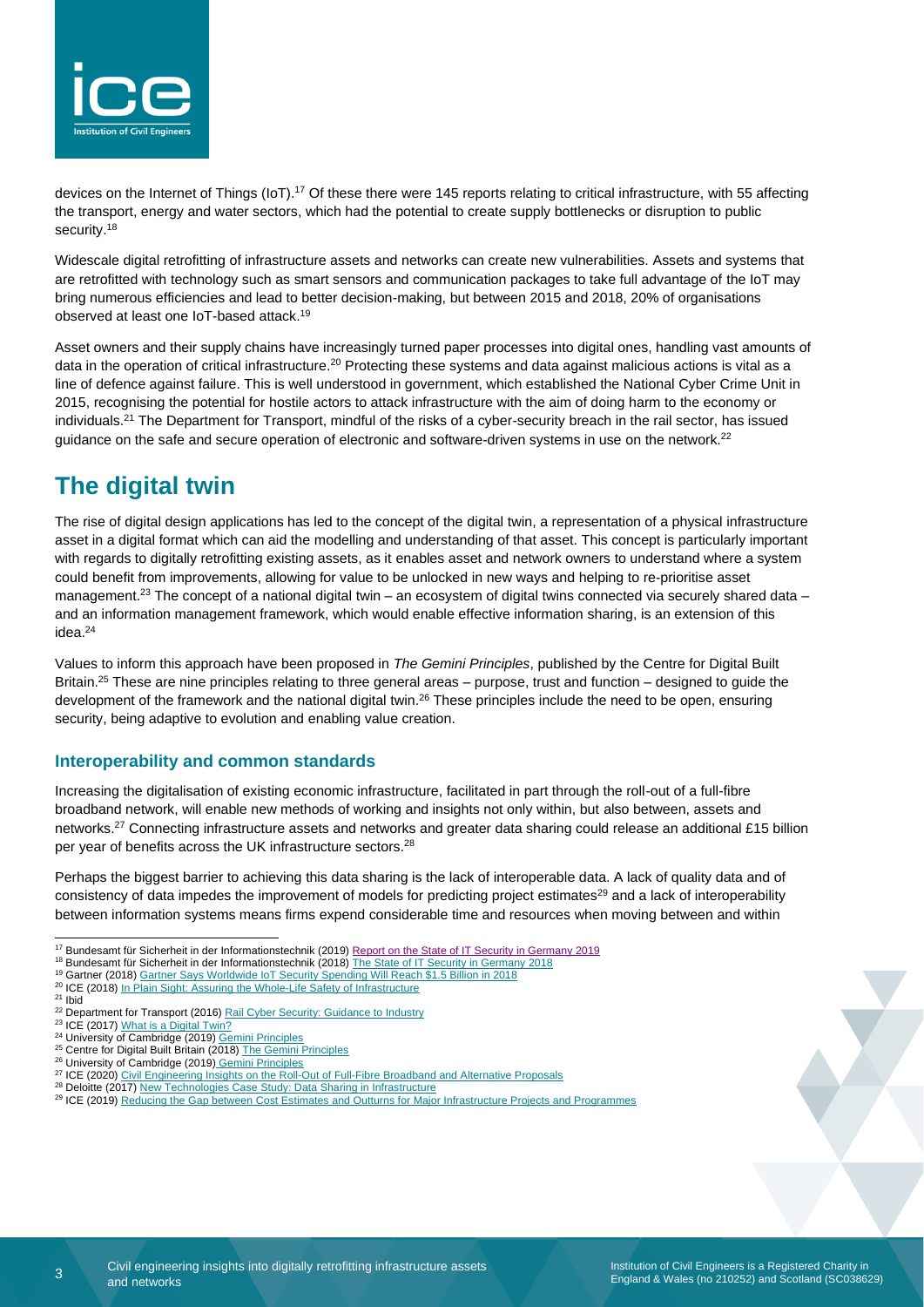

devices on the Internet of Things (IoT).<sup>17</sup> Of these there were 145 reports relating to critical infrastructure, with 55 affecting the transport, energy and water sectors, which had the potential to create supply bottlenecks or disruption to public security. 18

Widescale digital retrofitting of infrastructure assets and networks can create new vulnerabilities. Assets and systems that are retrofitted with technology such as smart sensors and communication packages to take full advantage of the IoT may bring numerous efficiencies and lead to better decision-making, but between 2015 and 2018, 20% of organisations observed at least one IoT-based attack. 19

Asset owners and their supply chains have increasingly turned paper processes into digital ones, handling vast amounts of data in the operation of critical infrastructure.<sup>20</sup> Protecting these systems and data against malicious actions is vital as a line of defence against failure. This is well understood in government, which established the National Cyber Crime Unit in 2015, recognising the potential for hostile actors to attack infrastructure with the aim of doing harm to the economy or individuals.<sup>21</sup> The Department for Transport, mindful of the risks of a cyber-security breach in the rail sector, has issued guidance on the safe and secure operation of electronic and software-driven systems in use on the network.<sup>22</sup>

## **The digital twin**

The rise of digital design applications has led to the concept of the digital twin, a representation of a physical infrastructure asset in a digital format which can aid the modelling and understanding of that asset. This concept is particularly important with regards to digitally retrofitting existing assets, as it enables asset and network owners to understand where a system could benefit from improvements, allowing for value to be unlocked in new ways and helping to re-prioritise asset management.<sup>23</sup> The concept of a national digital twin – an ecosystem of digital twins connected via securely shared data – and an information management framework, which would enable effective information sharing, is an extension of this idea.<sup>24</sup>

Values to inform this approach have been proposed in *The Gemini Principles*, published by the Centre for Digital Built Britain.<sup>25</sup> These are nine principles relating to three general areas – purpose, trust and function – designed to guide the development of the framework and the national digital twin.<sup>26</sup> These principles include the need to be open, ensuring security, being adaptive to evolution and enabling value creation.

### **Interoperability and common standards**

Increasing the digitalisation of existing economic infrastructure, facilitated in part through the roll-out of a full-fibre broadband network, will enable new methods of working and insights not only within, but also between, assets and networks.<sup>27</sup> Connecting infrastructure assets and networks and greater data sharing could release an additional £15 billion per year of benefits across the UK infrastructure sectors.<sup>28</sup>

Perhaps the biggest barrier to achieving this data sharing is the lack of interoperable data. A lack of quality data and of consistency of data impedes the improvement of models for predicting project estimates<sup>29</sup> and a lack of interoperability between information systems means firms expend considerable time and resources when moving between and within

- <sup>19</sup> Gartner (2018) [Gartner Says Worldwide IoT Security Spending Will Reach \\$1.5 Billion in 2018](https://www.gartner.com/en/newsroom/press-releases/2018-03-21-gartner-says-worldwide-iot-security-spending-will-reach-1-point-5-billion-in-2018)
- <sup>20</sup> ICE (2018) [In Plain Sight: Assuring the Whole-Life Safety of Infrastructure](https://www.ice.org.uk/getattachment/news-and-insight/policy/in-plain-sight/In-Plain-Sight.pdf.aspx#_ga=2.20893105.820243036.1584349819-1714938937.1528710932)

3

<sup>&</sup>lt;sup>17</sup> Bundesamt für Sicherheit in der Informationstechnik (2019) Report on the State of IT Security in Germany 2019

<sup>&</sup>lt;sup>18</sup> Bundesamt für Sicherheit in der Informationstechnik (2018) [The State of IT Security in Germany 2018](https://www.bsi.bund.de/SharedDocs/Downloads/EN/BSI/Publications/Securitysituation/IT-Security-Situation-in-Germany-2018.pdf?__blob=publicationFile&v=3)

<sup>21</sup> Ibid

<sup>22</sup> Department for Transport (2016) Rail Cyber Security: Guidance to Industry

<sup>&</sup>lt;sup>23</sup> ICE (2017) [What is a Digital Twin?](https://www.ice.org.uk/knowledge-and-resources/information-sheet/what-is-a-digital-twin)

<sup>&</sup>lt;sup>24</sup> University of Cambridge (2019) **[Gemini Principles](https://www.cdbb.cam.ac.uk/DFTG/GeminiPrinciples)** 

<sup>&</sup>lt;sup>25</sup> Centre for Digital Built Britain (2018) [The Gemini Principles](https://www.cdbb.cam.ac.uk/system/files/documents/TheGeminiPrinciples.pdf)

<sup>26</sup> University of Cambridge (2019) [Gemini Principles](https://www.cdbb.cam.ac.uk/DFTG/GeminiPrinciples)

<sup>&</sup>lt;sup>27</sup> ICE (2020) [Civil Engineering Insights on the Roll-Out of Full-Fibre Broadband and Alternative Proposals](https://www.ice.org.uk/getattachment/news-and-insight/policy/insights-into-full-fibre-broadband-rollout/Full-fibre-(FINAL)-27-01-20.pdf.aspx#_ga=2.235305153.1778077462.1582191596-94933451.1569858977)

<sup>&</sup>lt;sup>28</sup> Deloitte (2017) [New Technologies Case Study: Data Sharing in Infrastructure](https://www.nic.org.uk/wp-content/uploads/Data-sharing-in-infrastructure.pdf)

<sup>29</sup> ICE (2019[\) Reducing the Gap between Cost Estimates and Outturns for Major Infrastructure Projects and Programmes](https://www.ice.org.uk/ICEDevelopmentWebPortal/media/Documents/Media/Policy/ICE-Report-Reducing-the-gap-between-cost-estimates-and-outturns-for-major-infrastructure-projects-and-programmes.pdf)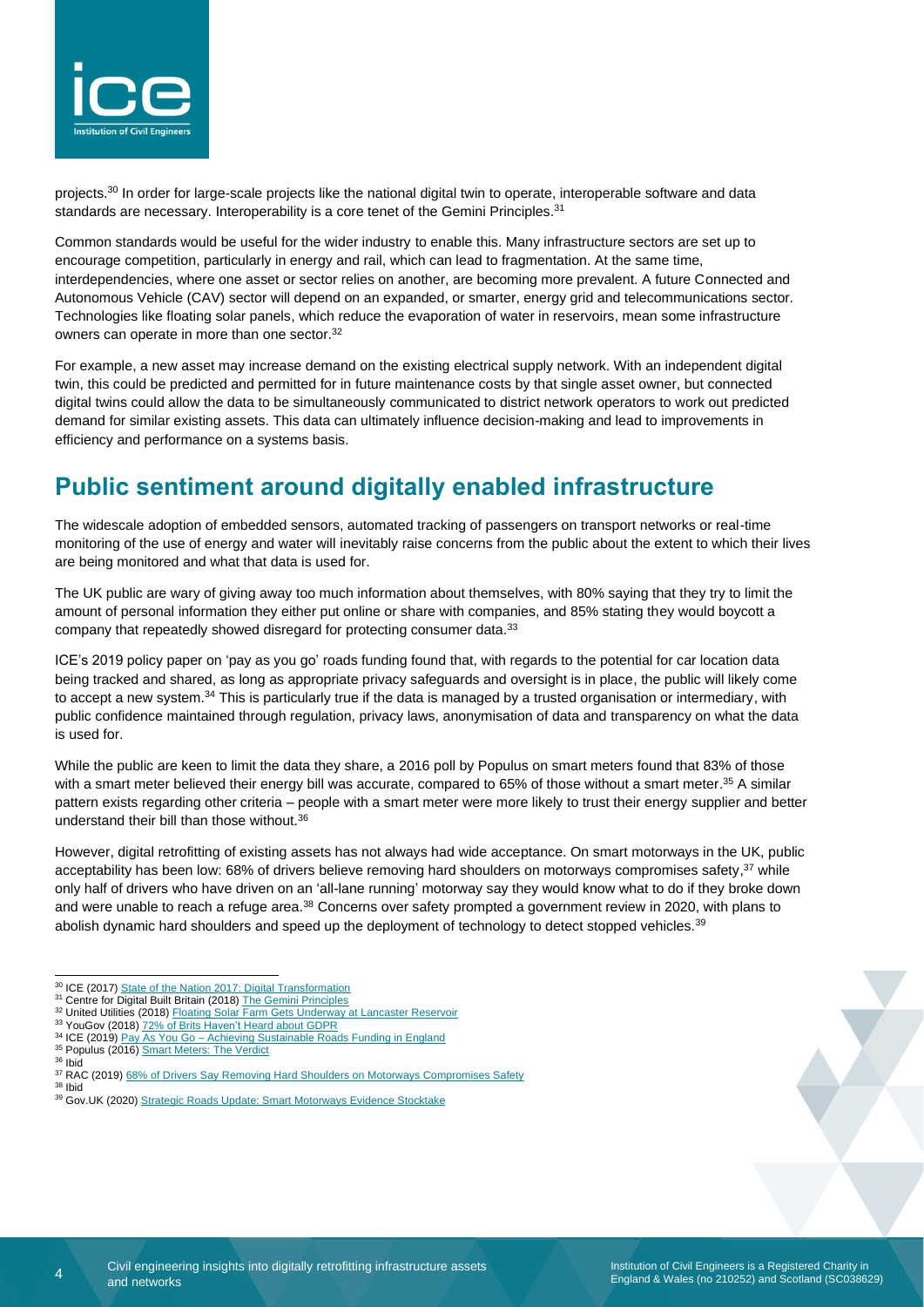

projects.<sup>30</sup> In order for large-scale projects like the national digital twin to operate, interoperable software and data standards are necessary. Interoperability is a core tenet of the Gemini Principles.<sup>31</sup>

Common standards would be useful for the wider industry to enable this. Many infrastructure sectors are set up to encourage competition, particularly in energy and rail, which can lead to fragmentation. At the same time, interdependencies, where one asset or sector relies on another, are becoming more prevalent. A future Connected and Autonomous Vehicle (CAV) sector will depend on an expanded, or smarter, energy grid and telecommunications sector. Technologies like floating solar panels, which reduce the evaporation of water in reservoirs, mean some infrastructure owners can operate in more than one sector.<sup>32</sup>

For example, a new asset may increase demand on the existing electrical supply network. With an independent digital twin, this could be predicted and permitted for in future maintenance costs by that single asset owner, but connected digital twins could allow the data to be simultaneously communicated to district network operators to work out predicted demand for similar existing assets. This data can ultimately influence decision-making and lead to improvements in efficiency and performance on a systems basis.

# **Public sentiment around digitally enabled infrastructure**

The widescale adoption of embedded sensors, automated tracking of passengers on transport networks or real-time monitoring of the use of energy and water will inevitably raise concerns from the public about the extent to which their lives are being monitored and what that data is used for.

The UK public are wary of giving away too much information about themselves, with 80% saying that they try to limit the amount of personal information they either put online or share with companies, and 85% stating they would boycott a company that repeatedly showed disregard for protecting consumer data.<sup>33</sup>

ICE's 2019 policy paper on 'pay as you go' roads funding found that, with regards to the potential for car location data being tracked and shared, as long as appropriate privacy safeguards and oversight is in place, the public will likely come to accept a new system.<sup>34</sup> This is particularly true if the data is managed by a trusted organisation or intermediary, with public confidence maintained through regulation, privacy laws, anonymisation of data and transparency on what the data is used for.

While the public are keen to limit the data they share, a 2016 poll by Populus on smart meters found that 83% of those with a smart meter believed their energy bill was accurate, compared to 65% of those without a smart meter.<sup>35</sup> A similar pattern exists regarding other criteria – people with a smart meter were more likely to trust their energy supplier and better understand their bill than those without.<sup>36</sup>

However, digital retrofitting of existing assets has not always had wide acceptance. On smart motorways in the UK, public acceptability has been low: 68% of drivers believe removing hard shoulders on motorways compromises safety,<sup>37</sup> while only half of drivers who have driven on an 'all-lane running' motorway say they would know what to do if they broke down and were unable to reach a refuge area.<sup>38</sup> Concerns over safety prompted a government review in 2020, with plans to abolish dynamic hard shoulders and speed up the deployment of technology to detect stopped vehicles.<sup>39</sup>

<sup>38</sup> Ibid

 $\overline{A}$ 

<sup>&</sup>lt;sup>30</sup> ICE (2017[\) State of the Nation 2017: Digital Transformation](https://www.ice.org.uk/getattachment/news-and-insight/policy/state-of-the-nation-2017-digital-transformation/ICE-SoN-Report-Web-Updated.pdf.aspx#_ga=2.242372226.1601946496.1582032553-94933451.1569858977)

<sup>&</sup>lt;sup>31</sup> Centre for Digital Built Britain (2018[\) The Gemini Principles](https://www.cdbb.cam.ac.uk/system/files/documents/TheGeminiPrinciples.pdf)

<sup>32</sup> United Utilities (2018[\) Floating Solar Farm Gets Underway at Lancaster Reservoir](https://www.unitedutilities.com/corporate/newsroom/latest-news/floating-solar-farm-gets-under-way-at-lancaster-reservoir/)

<sup>&</sup>lt;sup>33</sup> YouGov (2018) [72% of Brits Haven't Heard about GDPR](https://yougov.co.uk/topics/politics/articles-reports/2018/03/01/72-brits-havent-heard-about-gdpr) <sup>34</sup> ICE (2019) <u>Pay As You Go – [Achieving Sustainable Roads Funding in England](https://www.ice.org.uk/getattachment/news-and-insight/policy/pay-as-you-go-sustainable-roads-funding/ICE-PAYG-Policy-Report.pdf.aspx)</u>

<sup>&</sup>lt;sup>35</sup> Populus (2016) [Smart Meters: The Verdict](https://www.populus.co.uk/insights/2016/08/smart-meters-the-verdict/)

<sup>36</sup> Ibid

<sup>&</sup>lt;sup>37</sup> RAC (2019) [68% of Drivers Say Removing Hard Shoulders on Motorways Compromises Safety](https://media.rac.co.uk/pressreleases/68-percent-of-drivers-say-removing-hard-shoulders-on-motorways-compromises-safety-2948728)

<sup>39</sup> Gov.UK (2020) [Strategic Roads Update: Smart Motorways Evidence Stocktake](https://www.gov.uk/government/speeches/strategic-roads-update-smart-motorways-evidence-stocktake)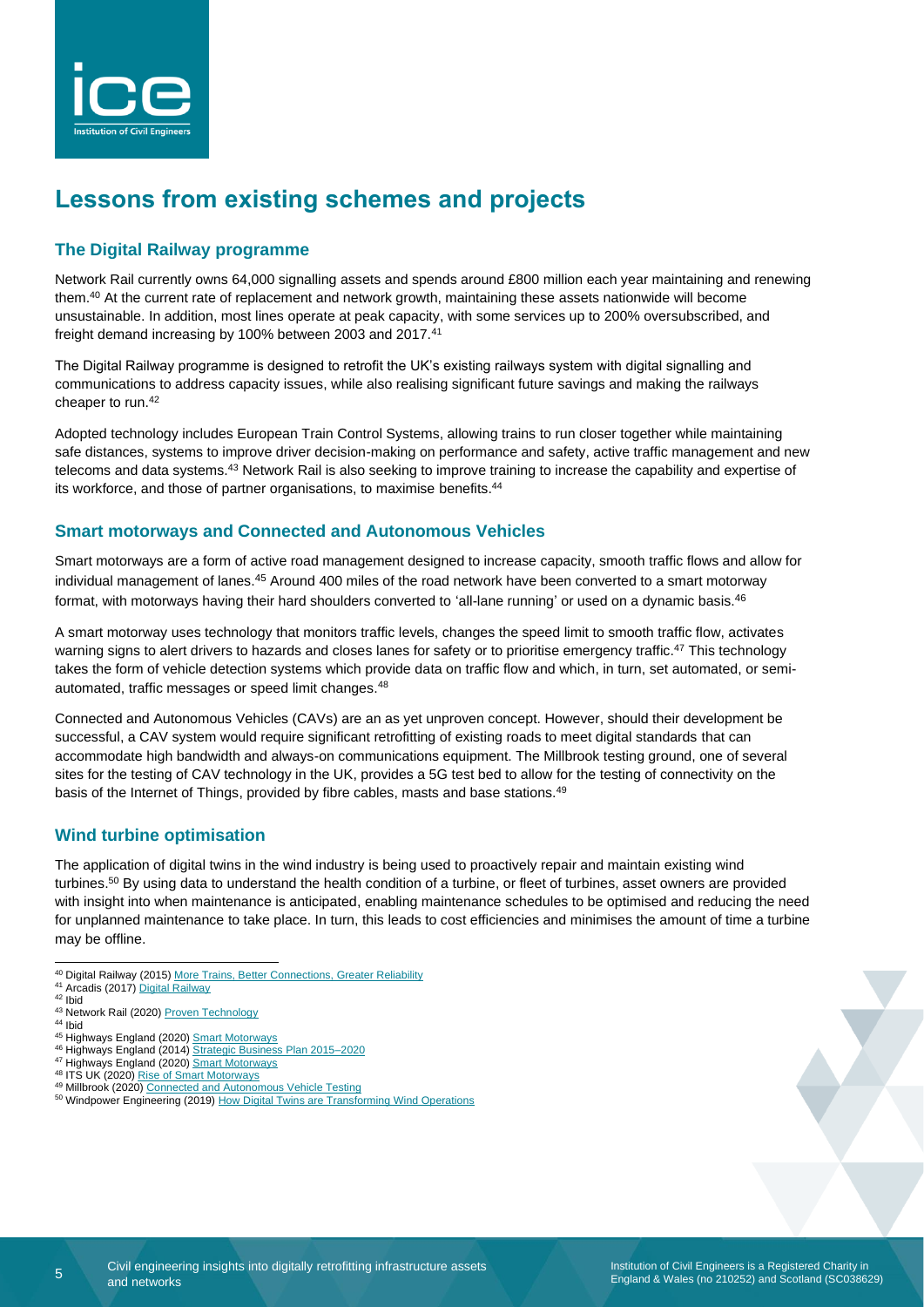

# **Lessons from existing schemes and projects**

### **The Digital Railway programme**

Network Rail currently owns 64,000 signalling assets and spends around £800 million each year maintaining and renewing them. <sup>40</sup> At the current rate of replacement and network growth, maintaining these assets nationwide will become unsustainable. In addition, most lines operate at peak capacity, with some services up to 200% oversubscribed, and freight demand increasing by 100% between 2003 and 2017.<sup>41</sup>

The Digital Railway programme is designed to retrofit the UK's existing railways system with digital signalling and communications to address capacity issues, while also realising significant future savings and making the railways cheaper to run.<sup>42</sup>

Adopted technology includes European Train Control Systems, allowing trains to run closer together while maintaining safe distances, systems to improve driver decision-making on performance and safety, active traffic management and new telecoms and data systems.<sup>43</sup> Network Rail is also seeking to improve training to increase the capability and expertise of its workforce, and those of partner organisations, to maximise benefits.<sup>44</sup>

#### **Smart motorways and Connected and Autonomous Vehicles**

Smart motorways are a form of active road management designed to increase capacity, smooth traffic flows and allow for individual management of lanes.<sup>45</sup> Around 400 miles of the road network have been converted to a smart motorway format, with motorways having their hard shoulders converted to 'all-lane running' or used on a dynamic basis.<sup>46</sup>

A smart motorway uses technology that monitors traffic levels, changes the speed limit to smooth traffic flow, activates warning signs to alert drivers to hazards and closes lanes for safety or to prioritise emergency traffic.<sup>47</sup> This technology takes the form of vehicle detection systems which provide data on traffic flow and which, in turn, set automated, or semiautomated, traffic messages or speed limit changes.<sup>48</sup>

Connected and Autonomous Vehicles (CAVs) are an as yet unproven concept. However, should their development be successful, a CAV system would require significant retrofitting of existing roads to meet digital standards that can accommodate high bandwidth and always-on communications equipment. The Millbrook testing ground, one of several sites for the testing of CAV technology in the UK, provides a 5G test bed to allow for the testing of connectivity on the basis of the Internet of Things, provided by fibre cables, masts and base stations.<sup>49</sup>

#### **Wind turbine optimisation**

The application of digital twins in the wind industry is being used to proactively repair and maintain existing wind turbines.<sup>50</sup> By using data to understand the health condition of a turbine, or fleet of turbines, asset owners are provided with insight into when maintenance is anticipated, enabling maintenance schedules to be optimised and reducing the need for unplanned maintenance to take place. In turn, this leads to cost efficiencies and minimises the amount of time a turbine may be offline.

- <sup>46</sup> Highways England (2014) [Strategic Business Plan 2015–2020](https://assets.publishing.service.gov.uk/government/uploads/system/uploads/attachment_data/file/396487/141209_Strategic_Business_Plan_Final.pdf)
- <sup>47</sup> Highways England (2020) [Smart Motorways](https://highwaysengland.co.uk/programmes/smart-motorways/)
- 48 ITS UK (2020) [Rise of Smart Motorways](https://its-uk.org.uk/rise-of-smart-motorways/)
- 49 Millbrook (2020) [Connected and Autonomous Vehicle Testing](https://www.millbrook.co.uk/services/vehicle/connected-and-autonomous-vehicle-testing/)

<sup>40</sup> Digital Railway (2015) [More Trains, Better Connections, Greater Reliability](https://digitalrailway.co.uk/wp-content/uploads/2015/11/Digital-Railway-Core-Narrative.pdf)

<sup>41</sup> Arcadis (2017) [Digital Railway](https://www.arcadis.com/media/6/E/F/%7B6EFC7796-3A26-4E5F-802C-6D453D60A8FC%7DDigital_Rail_UK_061017.pdf)

<sup>42</sup> Ibid

<sup>43</sup> Network Rail (2020) [Proven Technology](https://www.networkrail.co.uk/running-the-railway/railway-upgrade-plan/digital-railway/proven-technology/)

<sup>44</sup> Ibid 45 Highways England (2020) [Smart Motorways](https://highwaysengland.co.uk/programmes/smart-motorways/)

<sup>50</sup> Windpower Engineering (2019) How Digital Twins [are Transforming Wind Operations](https://www.windpowerengineering.com/how-digital-twins-are-transforming-wind-operations/)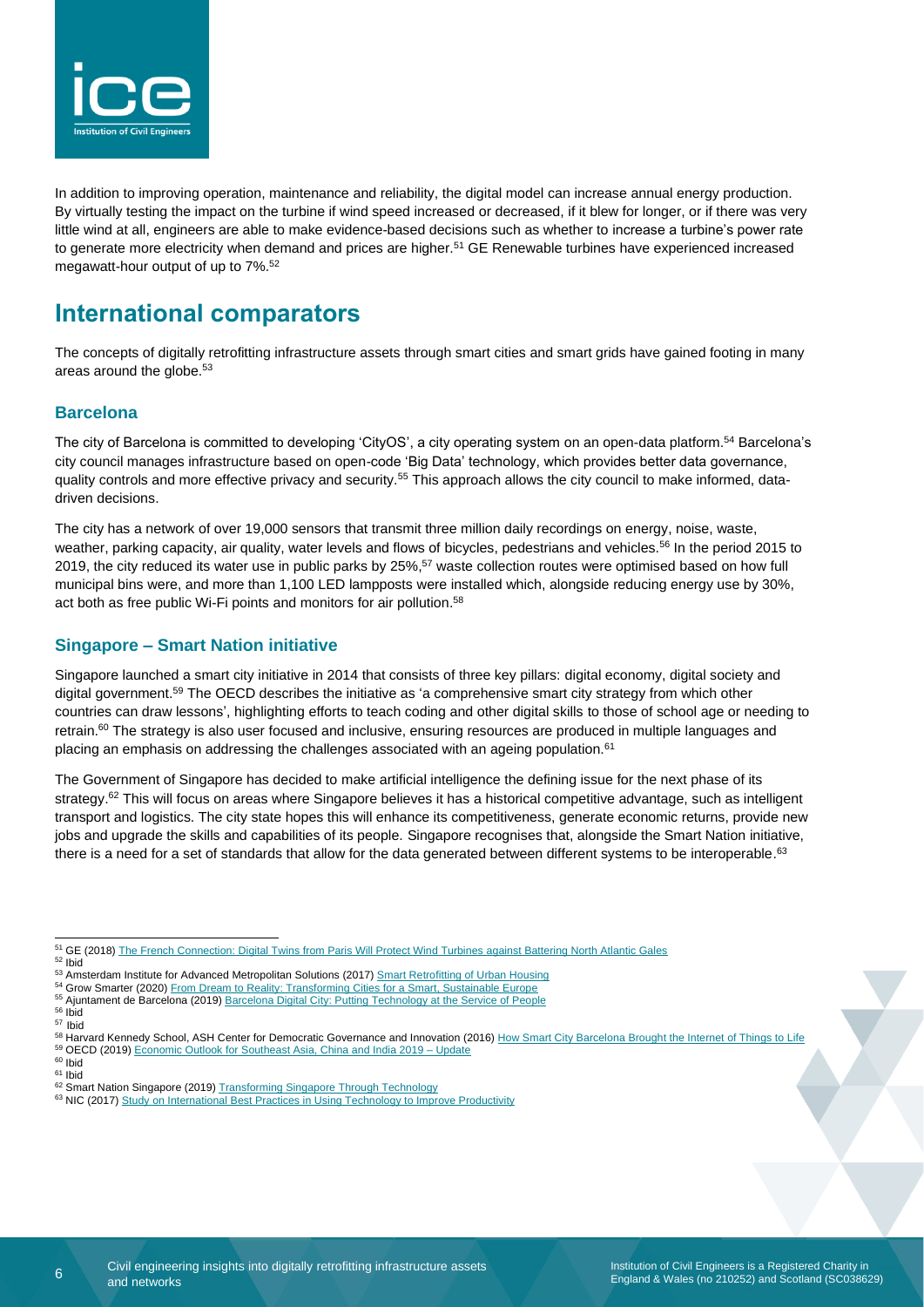

In addition to improving operation, maintenance and reliability, the digital model can increase annual energy production. By virtually testing the impact on the turbine if wind speed increased or decreased, if it blew for longer, or if there was very little wind at all, engineers are able to make evidence-based decisions such as whether to increase a turbine's power rate to generate more electricity when demand and prices are higher.<sup>51</sup> GE Renewable turbines have experienced increased megawatt-hour output of up to 7%. 52

## **International comparators**

The concepts of digitally retrofitting infrastructure assets through smart cities and smart grids have gained footing in many areas around the globe.<sup>53</sup>

#### **Barcelona**

The city of Barcelona is committed to developing 'CityOS', a city operating system on an open-data platform.<sup>54</sup> Barcelona's city council manages infrastructure based on open-code 'Big Data' technology, which provides better data governance, quality controls and more effective privacy and security.<sup>55</sup> This approach allows the city council to make informed, datadriven decisions.

The city has a network of over 19,000 sensors that transmit three million daily recordings on energy, noise, waste, weather, parking capacity, air quality, water levels and flows of bicycles, pedestrians and vehicles.<sup>56</sup> In the period 2015 to 2019, the city reduced its water use in public parks by 25%,<sup>57</sup> waste collection routes were optimised based on how full municipal bins were, and more than 1,100 LED lampposts were installed which, alongside reducing energy use by 30%, act both as free public Wi-Fi points and monitors for air pollution. 58

#### **Singapore – Smart Nation initiative**

Singapore launched a smart city initiative in 2014 that consists of three key pillars: digital economy, digital society and digital government.<sup>59</sup> The OECD describes the initiative as 'a comprehensive smart city strategy from which other countries can draw lessons', highlighting efforts to teach coding and other digital skills to those of school age or needing to retrain. $60$  The strategy is also user focused and inclusive, ensuring resources are produced in multiple languages and placing an emphasis on addressing the challenges associated with an ageing population.<sup>61</sup>

The Government of Singapore has decided to make artificial intelligence the defining issue for the next phase of its strategy. $62$  This will focus on areas where Singapore believes it has a historical competitive advantage, such as intelligent transport and logistics. The city state hopes this will enhance its competitiveness, generate economic returns, provide new jobs and upgrade the skills and capabilities of its people. Singapore recognises that, alongside the Smart Nation initiative, there is a need for a set of standards that allow for the data generated between different systems to be interoperable.<sup>63</sup>

<sup>54</sup> Grow Smarter (2020) From Dream to Reality: [Transforming Cities for a Smart, Sustainable Europe](https://grow-smarter.eu/fileadmin/editor-upload/Reports/recommendations_for_Policy_makers_and_practitioners.pdf)

<sup>&</sup>lt;sup>51</sup> GE (2018) [The French Connection: Digital Twins from Paris Will Protect Wind Turbines against Battering North Atlantic Gales](https://www.ge.com/reports/french-connection-digital-twins-paris-will-protect-wind-turbines-battering-north-atlantic-gales/)

<sup>52</sup> Ibid

<sup>53</sup> Amsterdam Institute for Advanced Metropolitan Solutions (2017[\) Smart Retrofitting of Urban Housing](https://waag.org/sites/waag/files/ams_project_final_report_smart_urban_retrofit_21_april_2017_0.pdf)

<sup>55</sup> Ajuntament de Barcelona (2019[\) Barcelona Digital City: Putting Technology at the Service of People](https://ajuntament.barcelona.cat/digital/sites/default/files/pla_barcelona_digital_city_in.pdf)  $56$  Ibid

<sup>57</sup> Ibid

<sup>&</sup>lt;sup>58</sup> Harvard Kennedy School, ASH Center for Democratic Governance and Innovation (2016) [How Smart City Barcelona Brought the Internet of Things to Life](https://datasmart.ash.harvard.edu/news/article/how-smart-city-barcelona-brought-the-internet-of-things-to-life-789) 59 OECD (2019[\) Economic Outlook for Southeast Asia, China and India 2019 –](https://read.oecd-ilibrary.org/development/economic-outlook-for-southeast-asia-china-and-india-2019-update_859159ab-en#page1) Update

<sup>60</sup> Ibid <sup>61</sup> Ibid

<sup>62</sup> Smart Nation Singapore (2019[\) Transforming Singapore Through Technology](https://www.smartnation.gov.sg/why-Smart-Nation/transforming-singapore)

<sup>63</sup> NIC (2017) [Study on International Best Practices in Using Technology to Improve Productivity](https://www.nic.org.uk/wp-content/uploads/International-best-practices.pdf)